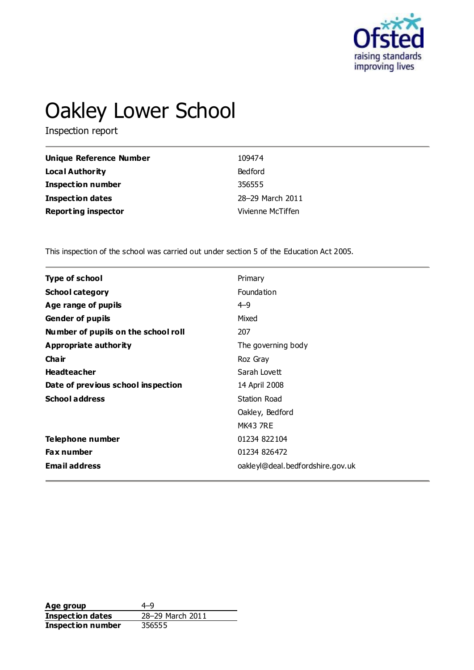

# Oakley Lower School

Inspection report

| Unique Reference Number    | 109474            |
|----------------------------|-------------------|
| Local Authority            | <b>Bedford</b>    |
| <b>Inspection number</b>   | 356555            |
| Inspection dates           | 28-29 March 2011  |
| <b>Reporting inspector</b> | Vivienne McTiffen |

This inspection of the school was carried out under section 5 of the Education Act 2005.

| Type of school                      | Primary                          |
|-------------------------------------|----------------------------------|
| <b>School category</b>              | Foundation                       |
| Age range of pupils                 | $4 - 9$                          |
| <b>Gender of pupils</b>             | Mixed                            |
| Number of pupils on the school roll | 207                              |
| <b>Appropriate authority</b>        | The governing body               |
| Cha ir                              | Roz Gray                         |
| <b>Headteacher</b>                  | Sarah Lovett                     |
| Date of previous school inspection  | 14 April 2008                    |
| <b>School address</b>               | <b>Station Road</b>              |
|                                     | Oakley, Bedford                  |
|                                     | <b>MK43 7RE</b>                  |
| Telephone number                    | 01234 822104                     |
| <b>Fax number</b>                   | 01234 826472                     |
| <b>Email address</b>                | oakleyl@deal.bedfordshire.gov.uk |
|                                     |                                  |

Age group<br> **Inspection dates** 28–29 March 2011 **Inspection dates Inspection number** 356555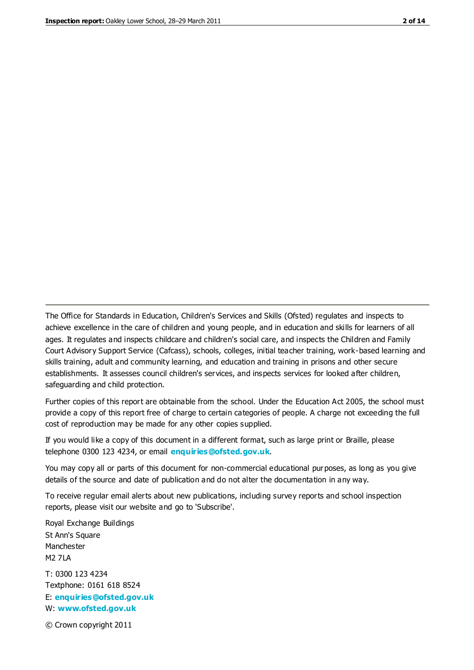The Office for Standards in Education, Children's Services and Skills (Ofsted) regulates and inspects to achieve excellence in the care of children and young people, and in education and skills for learners of all ages. It regulates and inspects childcare and children's social care, and inspects the Children and Family Court Advisory Support Service (Cafcass), schools, colleges, initial teacher training, work-based learning and skills training, adult and community learning, and education and training in prisons and other secure establishments. It assesses council children's services, and inspects services for looked after children, safeguarding and child protection.

Further copies of this report are obtainable from the school. Under the Education Act 2005, the school must provide a copy of this report free of charge to certain categories of people. A charge not exceeding the full cost of reproduction may be made for any other copies supplied.

If you would like a copy of this document in a different format, such as large print or Braille, please telephone 0300 123 4234, or email **[enquiries@ofsted.gov.uk](mailto:enquiries@ofsted.gov.uk)**.

You may copy all or parts of this document for non-commercial educational purposes, as long as you give details of the source and date of publication and do not alter the documentation in any way.

To receive regular email alerts about new publications, including survey reports and school inspection reports, please visit our website and go to 'Subscribe'.

Royal Exchange Buildings St Ann's Square Manchester M2 7LA T: 0300 123 4234 Textphone: 0161 618 8524 E: **[enquiries@ofsted.gov.uk](mailto:enquiries@ofsted.gov.uk)**

W: **[www.ofsted.gov.uk](http://www.ofsted.gov.uk/)**

© Crown copyright 2011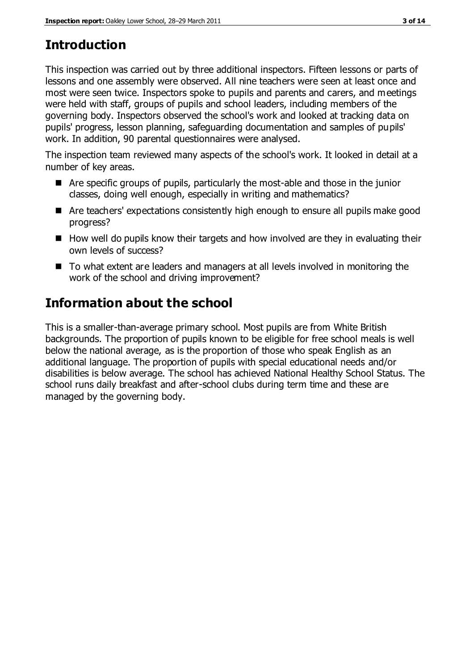# **Introduction**

This inspection was carried out by three additional inspectors. Fifteen lessons or parts of lessons and one assembly were observed. All nine teachers were seen at least once and most were seen twice. Inspectors spoke to pupils and parents and carers, and meetings were held with staff, groups of pupils and school leaders, including members of the governing body. Inspectors observed the school's work and looked at tracking data on pupils' progress, lesson planning, safeguarding documentation and samples of pupils' work. In addition, 90 parental questionnaires were analysed.

The inspection team reviewed many aspects of the school's work. It looked in detail at a number of key areas.

- Are specific groups of pupils, particularly the most-able and those in the junior classes, doing well enough, especially in writing and mathematics?
- Are teachers' expectations consistently high enough to ensure all pupils make good progress?
- $\blacksquare$  How well do pupils know their targets and how involved are they in evaluating their own levels of success?
- To what extent are leaders and managers at all levels involved in monitoring the work of the school and driving improvement?

# **Information about the school**

This is a smaller-than-average primary school. Most pupils are from White British backgrounds. The proportion of pupils known to be eligible for free school meals is well below the national average, as is the proportion of those who speak English as an additional language. The proportion of pupils with special educational needs and/or disabilities is below average. The school has achieved National Healthy School Status. The school runs daily breakfast and after-school clubs during term time and these are managed by the governing body.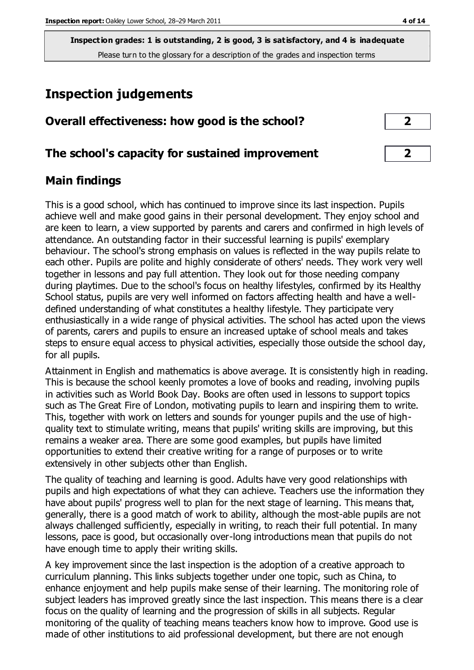**Inspection grades: 1 is outstanding, 2 is good, 3 is satisfactory, and 4 is inadequate** Please turn to the glossary for a description of the grades and inspection terms

# **Inspection judgements**

| Overall effectiveness: how good is the school? |  |
|------------------------------------------------|--|
|------------------------------------------------|--|

#### **The school's capacity for sustained improvement 2**

#### **Main findings**

This is a good school, which has continued to improve since its last inspection. Pupils achieve well and make good gains in their personal development. They enjoy school and are keen to learn, a view supported by parents and carers and confirmed in high levels of attendance. An outstanding factor in their successful learning is pupils' exemplary behaviour. The school's strong emphasis on values is reflected in the way pupils relate to each other. Pupils are polite and highly considerate of others' needs. They work very well together in lessons and pay full attention. They look out for those needing company during playtimes. Due to the school's focus on healthy lifestyles, confirmed by its Healthy School status, pupils are very well informed on factors affecting health and have a welldefined understanding of what constitutes a healthy lifestyle. They participate very enthusiastically in a wide range of physical activities. The school has acted upon the views of parents, carers and pupils to ensure an increased uptake of school meals and takes steps to ensure equal access to physical activities, especially those outside the school day, for all pupils.

Attainment in English and mathematics is above average. It is consistently high in reading. This is because the school keenly promotes a love of books and reading, involving pupils in activities such as World Book Day. Books are often used in lessons to support topics such as The Great Fire of London, motivating pupils to learn and inspiring them to write. This, together with work on letters and sounds for younger pupils and the use of highquality text to stimulate writing, means that pupils' writing skills are improving, but this remains a weaker area. There are some good examples, but pupils have limited opportunities to extend their creative writing for a range of purposes or to write extensively in other subjects other than English.

The quality of teaching and learning is good. Adults have very good relationships with pupils and high expectations of what they can achieve. Teachers use the information they have about pupils' progress well to plan for the next stage of learning. This means that, generally, there is a good match of work to ability, although the most-able pupils are not always challenged sufficiently, especially in writing, to reach their full potential. In many lessons, pace is good, but occasionally over-long introductions mean that pupils do not have enough time to apply their writing skills.

A key improvement since the last inspection is the adoption of a creative approach to curriculum planning. This links subjects together under one topic, such as China, to enhance enjoyment and help pupils make sense of their learning. The monitoring role of subject leaders has improved greatly since the last inspection. This means there is a clear focus on the quality of learning and the progression of skills in all subjects. Regular monitoring of the quality of teaching means teachers know how to improve. Good use is made of other institutions to aid professional development, but there are not enough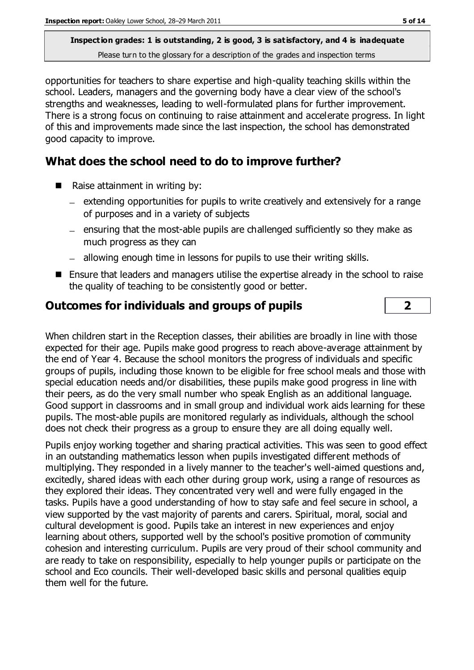**Inspection grades: 1 is outstanding, 2 is good, 3 is satisfactory, and 4 is inadequate** Please turn to the glossary for a description of the grades and inspection terms

opportunities for teachers to share expertise and high-quality teaching skills within the school. Leaders, managers and the governing body have a clear view of the school's strengths and weaknesses, leading to well-formulated plans for further improvement. There is a strong focus on continuing to raise attainment and accelerate progress. In light of this and improvements made since the last inspection, the school has demonstrated good capacity to improve.

#### **What does the school need to do to improve further?**

- Raise attainment in writing by:
	- $-$  extending opportunities for pupils to write creatively and extensively for a range of purposes and in a variety of subjects
	- $-$  ensuring that the most-able pupils are challenged sufficiently so they make as much progress as they can
	- allowing enough time in lessons for pupils to use their writing skills.
- Ensure that leaders and managers utilise the expertise already in the school to raise the quality of teaching to be consistently good or better.

#### **Outcomes for individuals and groups of pupils 2**

When children start in the Reception classes, their abilities are broadly in line with those expected for their age. Pupils make good progress to reach above-average attainment by the end of Year 4. Because the school monitors the progress of individuals and specific groups of pupils, including those known to be eligible for free school meals and those with special education needs and/or disabilities, these pupils make good progress in line with their peers, as do the very small number who speak English as an additional language. Good support in classrooms and in small group and individual work aids learning for these pupils. The most-able pupils are monitored regularly as individuals, although the school does not check their progress as a group to ensure they are all doing equally well.

Pupils enjoy working together and sharing practical activities. This was seen to good effect in an outstanding mathematics lesson when pupils investigated different methods of multiplying. They responded in a lively manner to the teacher's well-aimed questions and, excitedly, shared ideas with each other during group work, using a range of resources as they explored their ideas. They concentrated very well and were fully engaged in the tasks. Pupils have a good understanding of how to stay safe and feel secure in school, a view supported by the vast majority of parents and carers. Spiritual, moral, social and cultural development is good. Pupils take an interest in new experiences and enjoy learning about others, supported well by the school's positive promotion of community cohesion and interesting curriculum. Pupils are very proud of their school community and are ready to take on responsibility, especially to help younger pupils or participate on the school and Eco councils. Their well-developed basic skills and personal qualities equip them well for the future.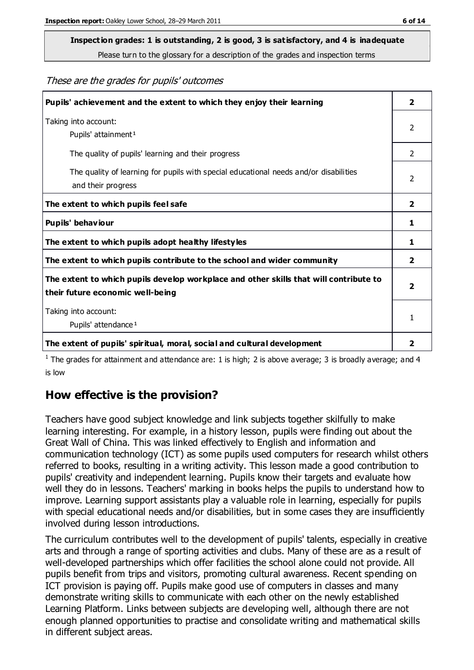# **Inspection grades: 1 is outstanding, 2 is good, 3 is satisfactory, and 4 is inadequate**

Please turn to the glossary for a description of the grades and inspection terms

#### These are the grades for pupils' outcomes

| Pupils' achievement and the extent to which they enjoy their learning                                                     | 2                       |
|---------------------------------------------------------------------------------------------------------------------------|-------------------------|
| Taking into account:<br>Pupils' attainment <sup>1</sup>                                                                   | 2                       |
| The quality of pupils' learning and their progress                                                                        | $\mathcal{P}$           |
| The quality of learning for pupils with special educational needs and/or disabilities<br>and their progress               | 2                       |
| The extent to which pupils feel safe                                                                                      | $\overline{\mathbf{2}}$ |
| Pupils' behaviour                                                                                                         | 1                       |
| The extent to which pupils adopt healthy lifestyles                                                                       | 1                       |
| The extent to which pupils contribute to the school and wider community                                                   | $\overline{2}$          |
| The extent to which pupils develop workplace and other skills that will contribute to<br>their future economic well-being | $\overline{\mathbf{2}}$ |
| Taking into account:<br>Pupils' attendance <sup>1</sup>                                                                   | 1                       |
| The extent of pupils' spiritual, moral, social and cultural development                                                   | 2                       |

<sup>1</sup> The grades for attainment and attendance are: 1 is high; 2 is above average; 3 is broadly average; and 4 is low

#### **How effective is the provision?**

Teachers have good subject knowledge and link subjects together skilfully to make learning interesting. For example, in a history lesson, pupils were finding out about the Great Wall of China. This was linked effectively to English and information and communication technology (ICT) as some pupils used computers for research whilst others referred to books, resulting in a writing activity. This lesson made a good contribution to pupils' creativity and independent learning. Pupils know their targets and evaluate how well they do in lessons. Teachers' marking in books helps the pupils to understand how to improve. Learning support assistants play a valuable role in learning, especially for pupils with special educational needs and/or disabilities, but in some cases they are insufficiently involved during lesson introductions.

The curriculum contributes well to the development of pupils' talents, especially in creative arts and through a range of sporting activities and clubs. Many of these are as a result of well-developed partnerships which offer facilities the school alone could not provide. All pupils benefit from trips and visitors, promoting cultural awareness. Recent spending on ICT provision is paying off. Pupils make good use of computers in classes and many demonstrate writing skills to communicate with each other on the newly established Learning Platform. Links between subjects are developing well, although there are not enough planned opportunities to practise and consolidate writing and mathematical skills in different subject areas.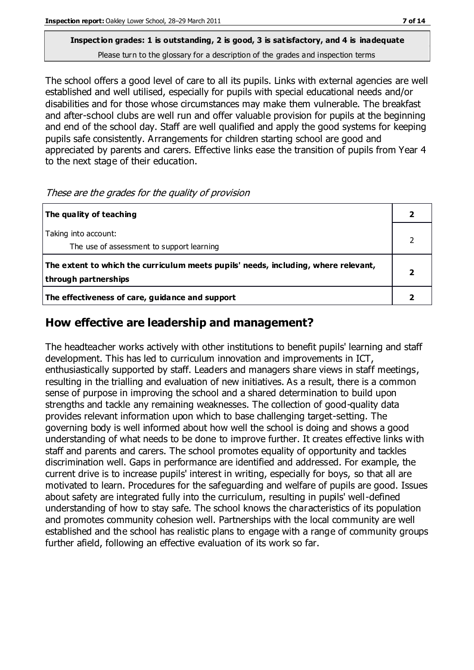#### **Inspection grades: 1 is outstanding, 2 is good, 3 is satisfactory, and 4 is inadequate** Please turn to the glossary for a description of the grades and inspection terms

The school offers a good level of care to all its pupils. Links with external agencies are well established and well utilised, especially for pupils with special educational needs and/or disabilities and for those whose circumstances may make them vulnerable. The breakfast and after-school clubs are well run and offer valuable provision for pupils at the beginning and end of the school day. Staff are well qualified and apply the good systems for keeping pupils safe consistently. Arrangements for children starting school are good and appreciated by parents and carers. Effective links ease the transition of pupils from Year 4 to the next stage of their education.

These are the grades for the quality of provision

| The quality of teaching                                                                                    |  |
|------------------------------------------------------------------------------------------------------------|--|
| Taking into account:<br>The use of assessment to support learning                                          |  |
| The extent to which the curriculum meets pupils' needs, including, where relevant,<br>through partnerships |  |
| The effectiveness of care, guidance and support                                                            |  |

#### **How effective are leadership and management?**

The headteacher works actively with other institutions to benefit pupils' learning and staff development. This has led to curriculum innovation and improvements in ICT, enthusiastically supported by staff. Leaders and managers share views in staff meetings, resulting in the trialling and evaluation of new initiatives. As a result, there is a common sense of purpose in improving the school and a shared determination to build upon strengths and tackle any remaining weaknesses. The collection of good-quality data provides relevant information upon which to base challenging target-setting. The governing body is well informed about how well the school is doing and shows a good understanding of what needs to be done to improve further. It creates effective links with staff and parents and carers. The school promotes equality of opportunity and tackles discrimination well. Gaps in performance are identified and addressed. For example, the current drive is to increase pupils' interest in writing, especially for boys, so that all are motivated to learn. Procedures for the safeguarding and welfare of pupils are good. Issues about safety are integrated fully into the curriculum, resulting in pupils' well-defined understanding of how to stay safe. The school knows the characteristics of its population and promotes community cohesion well. Partnerships with the local community are well established and the school has realistic plans to engage with a range of community groups further afield, following an effective evaluation of its work so far.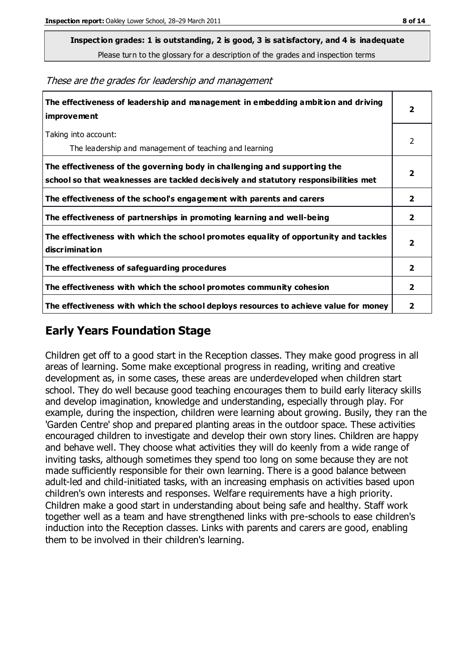**Inspection grades: 1 is outstanding, 2 is good, 3 is satisfactory, and 4 is inadequate**

Please turn to the glossary for a description of the grades and inspection terms

These are the grades for leadership and management

| The effectiveness of leadership and management in embedding ambition and driving<br>improvement                                                                  |                         |
|------------------------------------------------------------------------------------------------------------------------------------------------------------------|-------------------------|
| Taking into account:<br>The leadership and management of teaching and learning                                                                                   | 2                       |
| The effectiveness of the governing body in challenging and supporting the<br>school so that weaknesses are tackled decisively and statutory responsibilities met | 2                       |
| The effectiveness of the school's engagement with parents and carers                                                                                             | $\overline{2}$          |
| The effectiveness of partnerships in promoting learning and well-being                                                                                           | 2                       |
| The effectiveness with which the school promotes equality of opportunity and tackles<br>discrimination                                                           | $\overline{\mathbf{2}}$ |
| The effectiveness of safeguarding procedures                                                                                                                     | 2                       |
| The effectiveness with which the school promotes community cohesion                                                                                              | $\mathbf{2}$            |
| The effectiveness with which the school deploys resources to achieve value for money                                                                             | 2                       |

#### **Early Years Foundation Stage**

Children get off to a good start in the Reception classes. They make good progress in all areas of learning. Some make exceptional progress in reading, writing and creative development as, in some cases, these areas are underdeveloped when children start school. They do well because good teaching encourages them to build early literacy skills and develop imagination, knowledge and understanding, especially through play. For example, during the inspection, children were learning about growing. Busily, they ran the 'Garden Centre' shop and prepared planting areas in the outdoor space. These activities encouraged children to investigate and develop their own story lines. Children are happy and behave well. They choose what activities they will do keenly from a wide range of inviting tasks, although sometimes they spend too long on some because they are not made sufficiently responsible for their own learning. There is a good balance between adult-led and child-initiated tasks, with an increasing emphasis on activities based upon children's own interests and responses. Welfare requirements have a high priority. Children make a good start in understanding about being safe and healthy. Staff work together well as a team and have strengthened links with pre-schools to ease children's induction into the Reception classes. Links with parents and carers are good, enabling them to be involved in their children's learning.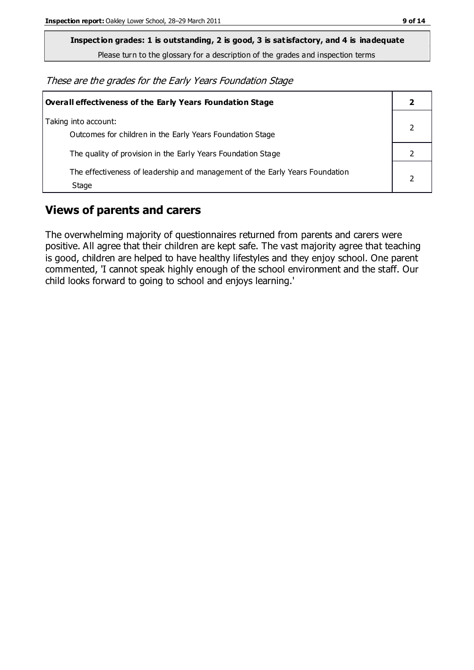**Inspection grades: 1 is outstanding, 2 is good, 3 is satisfactory, and 4 is inadequate**

Please turn to the glossary for a description of the grades and inspection terms

These are the grades for the Early Years Foundation Stage

| Overall effectiveness of the Early Years Foundation Stage                             |  |
|---------------------------------------------------------------------------------------|--|
| Taking into account:<br>Outcomes for children in the Early Years Foundation Stage     |  |
| The quality of provision in the Early Years Foundation Stage                          |  |
| The effectiveness of leadership and management of the Early Years Foundation<br>Stage |  |

#### **Views of parents and carers**

The overwhelming majority of questionnaires returned from parents and carers were positive. All agree that their children are kept safe. The vast majority agree that teaching is good, children are helped to have healthy lifestyles and they enjoy school. One parent commented, 'I cannot speak highly enough of the school environment and the staff. Our child looks forward to going to school and enjoys learning.'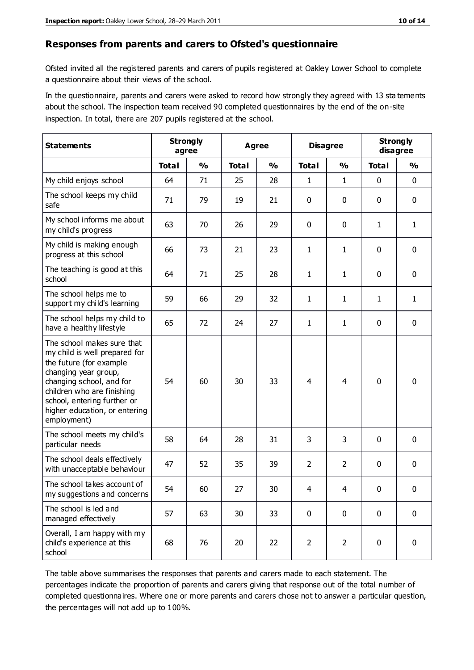#### **Responses from parents and carers to Ofsted's questionnaire**

Ofsted invited all the registered parents and carers of pupils registered at Oakley Lower School to complete a questionnaire about their views of the school.

In the questionnaire, parents and carers were asked to record how strongly they agreed with 13 sta tements about the school. The inspection team received 90 completed questionnaires by the end of the on-site inspection. In total, there are 207 pupils registered at the school.

| <b>Statements</b>                                                                                                                                                                                                                                       | <b>Strongly</b><br><b>Agree</b><br>agree |               |              | <b>Disagree</b> |                | <b>Strongly</b><br>disagree |              |               |
|---------------------------------------------------------------------------------------------------------------------------------------------------------------------------------------------------------------------------------------------------------|------------------------------------------|---------------|--------------|-----------------|----------------|-----------------------------|--------------|---------------|
|                                                                                                                                                                                                                                                         | <b>Total</b>                             | $\frac{0}{0}$ | <b>Total</b> | $\frac{0}{0}$   | <b>Total</b>   | $\frac{0}{0}$               | <b>Total</b> | $\frac{0}{0}$ |
| My child enjoys school                                                                                                                                                                                                                                  | 64                                       | 71            | 25           | 28              | 1              | 1                           | 0            | $\mathbf 0$   |
| The school keeps my child<br>safe                                                                                                                                                                                                                       | 71                                       | 79            | 19           | 21              | 0              | $\mathbf 0$                 | 0            | $\pmb{0}$     |
| My school informs me about<br>my child's progress                                                                                                                                                                                                       | 63                                       | 70            | 26           | 29              | 0              | 0                           | $\mathbf{1}$ | $\mathbf{1}$  |
| My child is making enough<br>progress at this school                                                                                                                                                                                                    | 66                                       | 73            | 21           | 23              | $\mathbf{1}$   | 1                           | $\mathbf 0$  | $\mathbf 0$   |
| The teaching is good at this<br>school                                                                                                                                                                                                                  | 64                                       | 71            | 25           | 28              | $\mathbf{1}$   | 1                           | 0            | 0             |
| The school helps me to<br>support my child's learning                                                                                                                                                                                                   | 59                                       | 66            | 29           | 32              | $\mathbf{1}$   | 1                           | 1            | $\mathbf{1}$  |
| The school helps my child to<br>have a healthy lifestyle                                                                                                                                                                                                | 65                                       | 72            | 24           | 27              | $\mathbf{1}$   | 1                           | 0            | $\pmb{0}$     |
| The school makes sure that<br>my child is well prepared for<br>the future (for example<br>changing year group,<br>changing school, and for<br>children who are finishing<br>school, entering further or<br>higher education, or entering<br>employment) | 54                                       | 60            | 30           | 33              | $\overline{4}$ | 4                           | $\mathbf 0$  | $\mathbf 0$   |
| The school meets my child's<br>particular needs                                                                                                                                                                                                         | 58                                       | 64            | 28           | 31              | 3              | 3                           | $\mathbf 0$  | $\mathbf 0$   |
| The school deals effectively<br>with unacceptable behaviour                                                                                                                                                                                             | 47                                       | 52            | 35           | 39              | $\overline{2}$ | $\overline{2}$              | 0            | 0             |
| The school takes account of<br>my suggestions and concerns                                                                                                                                                                                              | 54                                       | 60            | 27           | 30              | 4              | 4                           | 0            | 0             |
| The school is led and<br>managed effectively                                                                                                                                                                                                            | 57                                       | 63            | 30           | 33              | $\mathbf 0$    | $\mathbf 0$                 | $\mathbf 0$  | $\mathbf 0$   |
| Overall, I am happy with my<br>child's experience at this<br>school                                                                                                                                                                                     | 68                                       | 76            | 20           | 22              | $\overline{2}$ | $\overline{2}$              | $\mathbf 0$  | $\pmb{0}$     |

The table above summarises the responses that parents and carers made to each statement. The percentages indicate the proportion of parents and carers giving that response out of the total number of completed questionnaires. Where one or more parents and carers chose not to answer a particular question, the percentages will not add up to 100%.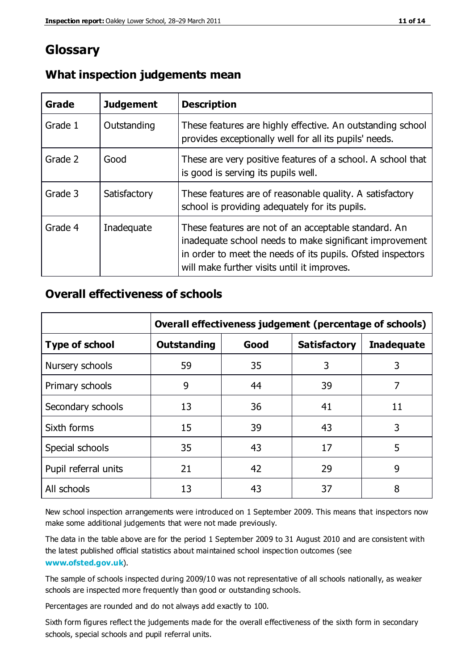### **Glossary**

| Grade   | <b>Judgement</b> | <b>Description</b>                                                                                                                                                                                                            |
|---------|------------------|-------------------------------------------------------------------------------------------------------------------------------------------------------------------------------------------------------------------------------|
| Grade 1 | Outstanding      | These features are highly effective. An outstanding school<br>provides exceptionally well for all its pupils' needs.                                                                                                          |
| Grade 2 | Good             | These are very positive features of a school. A school that<br>is good is serving its pupils well.                                                                                                                            |
| Grade 3 | Satisfactory     | These features are of reasonable quality. A satisfactory<br>school is providing adequately for its pupils.                                                                                                                    |
| Grade 4 | Inadequate       | These features are not of an acceptable standard. An<br>inadequate school needs to make significant improvement<br>in order to meet the needs of its pupils. Ofsted inspectors<br>will make further visits until it improves. |

#### **What inspection judgements mean**

#### **Overall effectiveness of schools**

|                       | Overall effectiveness judgement (percentage of schools) |      |                     |                   |
|-----------------------|---------------------------------------------------------|------|---------------------|-------------------|
| <b>Type of school</b> | <b>Outstanding</b>                                      | Good | <b>Satisfactory</b> | <b>Inadequate</b> |
| Nursery schools       | 59                                                      | 35   | 3                   | 3                 |
| Primary schools       | 9                                                       | 44   | 39                  | 7                 |
| Secondary schools     | 13                                                      | 36   | 41                  | 11                |
| Sixth forms           | 15                                                      | 39   | 43                  | 3                 |
| Special schools       | 35                                                      | 43   | 17                  | 5                 |
| Pupil referral units  | 21                                                      | 42   | 29                  | 9                 |
| All schools           | 13                                                      | 43   | 37                  | 8                 |

New school inspection arrangements were introduced on 1 September 2009. This means that inspectors now make some additional judgements that were not made previously.

The data in the table above are for the period 1 September 2009 to 31 August 2010 and are consistent with the latest published official statistics about maintained school inspec tion outcomes (see **[www.ofsted.gov.uk](http://www.ofsted.gov.uk/)**).

The sample of schools inspected during 2009/10 was not representative of all schools nationally, as weaker schools are inspected more frequently than good or outstanding schools.

Percentages are rounded and do not always add exactly to 100.

Sixth form figures reflect the judgements made for the overall effectiveness of the sixth form in secondary schools, special schools and pupil referral units.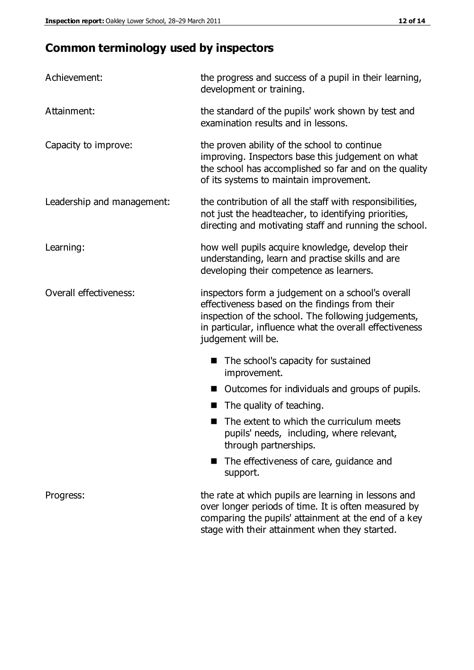# **Common terminology used by inspectors**

| Achievement:               | the progress and success of a pupil in their learning,<br>development or training.                                                                                                                                                          |  |  |
|----------------------------|---------------------------------------------------------------------------------------------------------------------------------------------------------------------------------------------------------------------------------------------|--|--|
| Attainment:                | the standard of the pupils' work shown by test and<br>examination results and in lessons.                                                                                                                                                   |  |  |
| Capacity to improve:       | the proven ability of the school to continue<br>improving. Inspectors base this judgement on what<br>the school has accomplished so far and on the quality<br>of its systems to maintain improvement.                                       |  |  |
| Leadership and management: | the contribution of all the staff with responsibilities,<br>not just the headteacher, to identifying priorities,<br>directing and motivating staff and running the school.                                                                  |  |  |
| Learning:                  | how well pupils acquire knowledge, develop their<br>understanding, learn and practise skills and are<br>developing their competence as learners.                                                                                            |  |  |
| Overall effectiveness:     | inspectors form a judgement on a school's overall<br>effectiveness based on the findings from their<br>inspection of the school. The following judgements,<br>in particular, influence what the overall effectiveness<br>judgement will be. |  |  |
|                            | The school's capacity for sustained<br>improvement.                                                                                                                                                                                         |  |  |
|                            | Outcomes for individuals and groups of pupils.                                                                                                                                                                                              |  |  |
|                            | The quality of teaching.                                                                                                                                                                                                                    |  |  |
|                            | The extent to which the curriculum meets<br>pupils' needs, including, where relevant,<br>through partnerships.                                                                                                                              |  |  |
|                            | The effectiveness of care, guidance and<br>support.                                                                                                                                                                                         |  |  |
| Progress:                  | the rate at which pupils are learning in lessons and<br>over longer periods of time. It is often measured by<br>comparing the pupils' attainment at the end of a key                                                                        |  |  |

stage with their attainment when they started.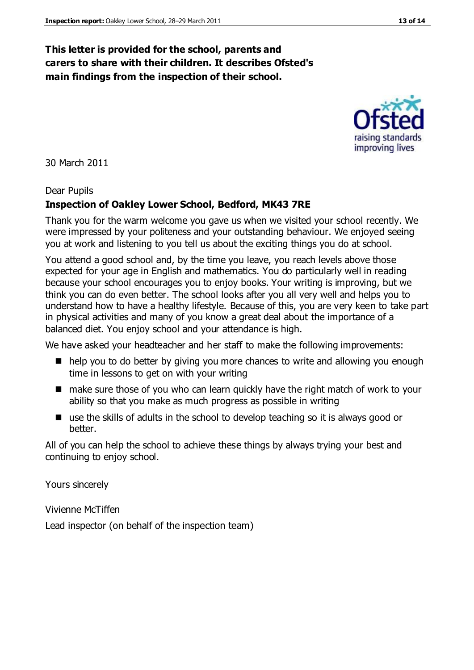#### **This letter is provided for the school, parents and carers to share with their children. It describes Ofsted's main findings from the inspection of their school.**

30 March 2011

#### Dear Pupils

#### **Inspection of Oakley Lower School, Bedford, MK43 7RE**

Thank you for the warm welcome you gave us when we visited your school recently. We were impressed by your politeness and your outstanding behaviour. We enjoyed seeing you at work and listening to you tell us about the exciting things you do at school.

You attend a good school and, by the time you leave, you reach levels above those expected for your age in English and mathematics. You do particularly well in reading because your school encourages you to enjoy books. Your writing is improving, but we think you can do even better. The school looks after you all very well and helps you to understand how to have a healthy lifestyle. Because of this, you are very keen to take part in physical activities and many of you know a great deal about the importance of a balanced diet. You enjoy school and your attendance is high.

We have asked your headteacher and her staff to make the following improvements:

- help you to do better by giving you more chances to write and allowing you enough time in lessons to get on with your writing
- make sure those of you who can learn quickly have the right match of work to your ability so that you make as much progress as possible in writing
- use the skills of adults in the school to develop teaching so it is always good or better.

All of you can help the school to achieve these things by always trying your best and continuing to enjoy school.

Yours sincerely

Vivienne McTiffen

Lead inspector (on behalf of the inspection team)